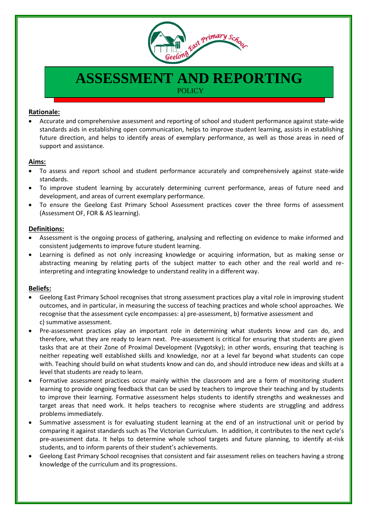

# **ASSESSMENT AND REPORTING**

**POLICY** 

### **Rationale:**

 Accurate and comprehensive assessment and reporting of school and student performance against state-wide standards aids in establishing open communication, helps to improve student learning, assists in establishing future direction, and helps to identify areas of exemplary performance, as well as those areas in need of support and assistance.

#### **Aims:**

- To assess and report school and student performance accurately and comprehensively against state-wide standards.
- To improve student learning by accurately determining current performance, areas of future need and development, and areas of current exemplary performance.
- To ensure the Geelong East Primary School Assessment practices cover the three forms of assessment (Assessment OF, FOR & AS learning).

#### **Definitions:**

- Assessment is the ongoing process of gathering, analysing and reflecting on evidence to make informed and consistent judgements to improve future student learning.
- Learning is defined as not only increasing knowledge or acquiring information, but as making sense or abstracting meaning by relating parts of the subject matter to each other and the real world and reinterpreting and integrating knowledge to understand reality in a different way.

#### **Beliefs:**

- Geelong East Primary School recognises that strong assessment practices play a vital role in improving student outcomes, and in particular, in measuring the success of teaching practices and whole school approaches. We recognise that the assessment cycle encompasses: a) pre-assessment, b) formative assessment and c) summative assessment.
- Pre-assessment practices play an important role in determining what students know and can do, and therefore, what they are ready to learn next. Pre-assessment is critical for ensuring that students are given tasks that are at their Zone of Proximal Development (Vygotsky); in other words, ensuring that teaching is neither repeating well established skills and knowledge, nor at a level far beyond what students can cope with. Teaching should build on what students know and can do, and should introduce new ideas and skills at a level that students are ready to learn.
- Formative assessment practices occur mainly within the classroom and are a form of monitoring student learning to provide ongoing feedback that can be used by teachers to improve their teaching and by students to improve their learning. Formative assessment helps students to identify strengths and weaknesses and target areas that need work. It helps teachers to recognise where students are struggling and address problems immediately.
- Summative assessment is for evaluating student learning at the end of an instructional unit or period by comparing it against standards such as The Victorian Curriculum. In addition, it contributes to the next cycle's pre-assessment data. It helps to determine whole school targets and future planning, to identify at-risk students, and to inform parents of their student's achievements.
- Geelong East Primary School recognises that consistent and fair assessment relies on teachers having a strong knowledge of the curriculum and its progressions.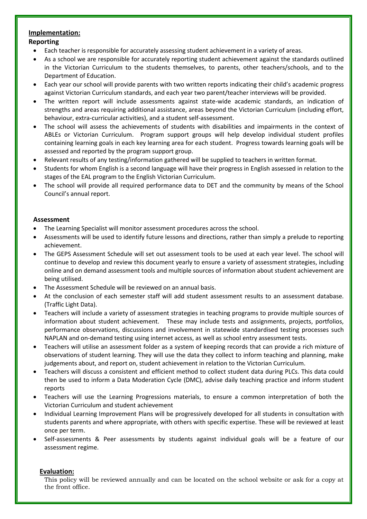## **Implementation:**

#### **Reporting**

- Each teacher is responsible for accurately assessing student achievement in a variety of areas.
- As a school we are responsible for accurately reporting student achievement against the standards outlined in the Victorian Curriculum to the students themselves, to parents, other teachers/schools, and to the Department of Education.
- Each year our school will provide parents with two written reports indicating their child's academic progress against Victorian Curriculum standards, and each year two parent/teacher interviews will be provided.
- The written report will include assessments against state-wide academic standards, an indication of strengths and areas requiring additional assistance, areas beyond the Victorian Curriculum (including effort, behaviour, extra-curricular activities), and a student self-assessment.
- The school will assess the achievements of students with disabilities and impairments in the context of ABLEs or Victorian Curriculum. Program support groups will help develop individual student profiles containing learning goals in each key learning area for each student. Progress towards learning goals will be assessed and reported by the program support group.
- Relevant results of any testing/information gathered will be supplied to teachers in written format.
- Students for whom English is a second language will have their progress in English assessed in relation to the stages of the EAL program to the English Victorian Curriculum.
- The school will provide all required performance data to DET and the community by means of the School Council's annual report.

#### **Assessment**

- The Learning Specialist will monitor assessment procedures across the school.
- Assessments will be used to identify future lessons and directions, rather than simply a prelude to reporting achievement.
- The GEPS Assessment Schedule will set out assessment tools to be used at each year level. The school will continue to develop and review this document yearly to ensure a variety of assessment strategies, including online and on demand assessment tools and multiple sources of information about student achievement are being utilised.
- The Assessment Schedule will be reviewed on an annual basis.
- At the conclusion of each semester staff will add student assessment results to an assessment database. (Traffic Light Data).
- Teachers will include a variety of assessment strategies in teaching programs to provide multiple sources of information about student achievement. These may include tests and assignments, projects, portfolios, performance observations, discussions and involvement in statewide standardised testing processes such NAPLAN and on-demand testing using internet access, as well as school entry assessment tests.
- Teachers will utilise an assessment folder as a system of keeping records that can provide a rich mixture of observations of student learning. They will use the data they collect to inform teaching and planning, make judgements about, and report on, student achievement in relation to the Victorian Curriculum.
- Teachers will discuss a consistent and efficient method to collect student data during PLCs. This data could then be used to inform a Data Moderation Cycle (DMC), advise daily teaching practice and inform student reports
- Teachers will use the Learning Progressions materials, to ensure a common interpretation of both the Victorian Curriculum and student achievement
- Individual Learning Improvement Plans will be progressively developed for all students in consultation with students parents and where appropriate, with others with specific expertise. These will be reviewed at least once per term.
- Self-assessments & Peer assessments by students against individual goals will be a feature of our assessment regime.

#### **Evaluation:**

This policy will be reviewed annually and can be located on the school website or ask for a copy at the front office.